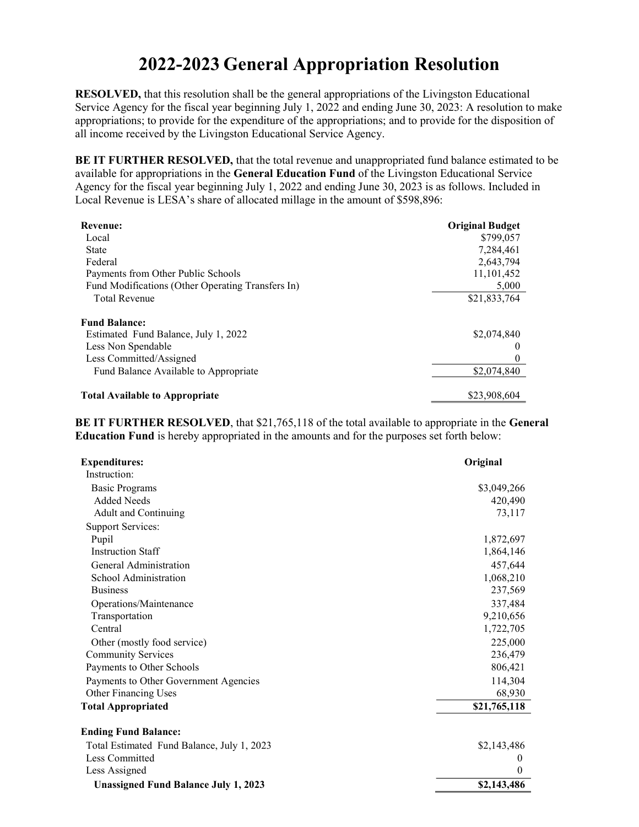## 2022-2023 General Appropriation Resolution

RESOLVED, that this resolution shall be the general appropriations of the Livingston Educational Service Agency for the fiscal year beginning July 1, 2022 and ending June 30, 2023: A resolution to make appropriations; to provide for the expenditure of the appropriations; and to provide for the disposition of all income received by the Livingston Educational Service Agency.

BE IT FURTHER RESOLVED, that the total revenue and unappropriated fund balance estimated to be available for appropriations in the General Education Fund of the Livingston Educational Service Agency for the fiscal year beginning July 1, 2022 and ending June 30, 2023 is as follows. Included in Local Revenue is LESA's share of allocated millage in the amount of \$598,896:

| <b>Revenue:</b>                                   | <b>Original Budget</b> |
|---------------------------------------------------|------------------------|
| Local                                             | \$799,057              |
| <b>State</b>                                      | 7.284.461              |
| Federal                                           | 2,643,794              |
| Payments from Other Public Schools                | 11,101,452             |
| Fund Modifications (Other Operating Transfers In) | 5,000                  |
| <b>Total Revenue</b>                              | \$21,833,764           |
| <b>Fund Balance:</b>                              |                        |
| Estimated Fund Balance, July 1, 2022              | \$2,074,840            |
| Less Non Spendable                                | $\theta$               |
| Less Committed/Assigned                           | $\theta$               |
| Fund Balance Available to Appropriate             | \$2,074,840            |
| <b>Total Available to Appropriate</b>             | \$23,908,604           |

BE IT FURTHER RESOLVED, that \$21,765,118 of the total available to appropriate in the General Education Fund is hereby appropriated in the amounts and for the purposes set forth below:

| <b>Expenditures:</b>                        | Original     |
|---------------------------------------------|--------------|
| Instruction:                                |              |
| <b>Basic Programs</b>                       | \$3,049,266  |
| <b>Added Needs</b>                          | 420,490      |
| <b>Adult and Continuing</b>                 | 73,117       |
| <b>Support Services:</b>                    |              |
| Pupil                                       | 1,872,697    |
| <b>Instruction Staff</b>                    | 1,864,146    |
| General Administration                      | 457,644      |
| School Administration                       | 1,068,210    |
| <b>Business</b>                             | 237,569      |
| Operations/Maintenance                      | 337,484      |
| Transportation                              | 9,210,656    |
| Central                                     | 1,722,705    |
| Other (mostly food service)                 | 225,000      |
| <b>Community Services</b>                   | 236,479      |
| Payments to Other Schools                   | 806,421      |
| Payments to Other Government Agencies       | 114,304      |
| Other Financing Uses                        | 68,930       |
| <b>Total Appropriated</b>                   | \$21,765,118 |
| <b>Ending Fund Balance:</b>                 |              |
| Total Estimated Fund Balance, July 1, 2023  | \$2,143,486  |
| Less Committed                              | $\theta$     |
| Less Assigned                               | $\theta$     |
| <b>Unassigned Fund Balance July 1, 2023</b> | \$2,143,486  |